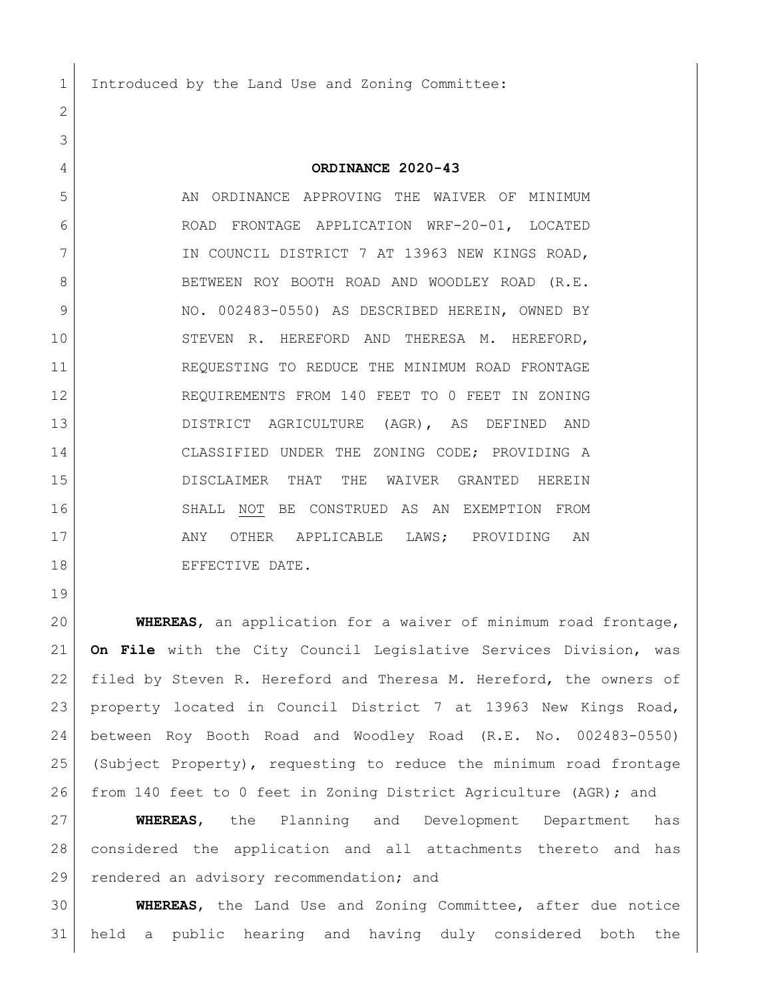Introduced by the Land Use and Zoning Committee:

## **ORDINANCE 2020-43**

5 AN ORDINANCE APPROVING THE WAIVER OF MINIMUM ROAD FRONTAGE APPLICATION WRF-20-01, LOCATED 7 IN COUNCIL DISTRICT 7 AT 13963 NEW KINGS ROAD, 8 BETWEEN ROY BOOTH ROAD AND WOODLEY ROAD (R.E. 9 NO. 002483-0550) AS DESCRIBED HEREIN, OWNED BY STEVEN R. HEREFORD AND THERESA M. HEREFORD, REQUESTING TO REDUCE THE MINIMUM ROAD FRONTAGE REQUIREMENTS FROM 140 FEET TO 0 FEET IN ZONING DISTRICT AGRICULTURE (AGR), AS DEFINED AND CLASSIFIED UNDER THE ZONING CODE; PROVIDING A DISCLAIMER THAT THE WAIVER GRANTED HEREIN SHALL NOT BE CONSTRUED AS AN EXEMPTION FROM 17 ANY OTHER APPLICABLE LAWS; PROVIDING AN 18 EFFECTIVE DATE.

 **WHEREAS**, an application for a waiver of minimum road frontage, **On File** with the City Council Legislative Services Division, was 22 | filed by Steven R. Hereford and Theresa M. Hereford, the owners of property located in Council District 7 at 13963 New Kings Road, between Roy Booth Road and Woodley Road (R.E. No. 002483-0550) (Subject Property), requesting to reduce the minimum road frontage from 140 feet to 0 feet in Zoning District Agriculture (AGR); and

 **WHEREAS**, the Planning and Development Department has considered the application and all attachments thereto and has 29 rendered an advisory recommendation; and

 **WHEREAS**, the Land Use and Zoning Committee, after due notice held a public hearing and having duly considered both the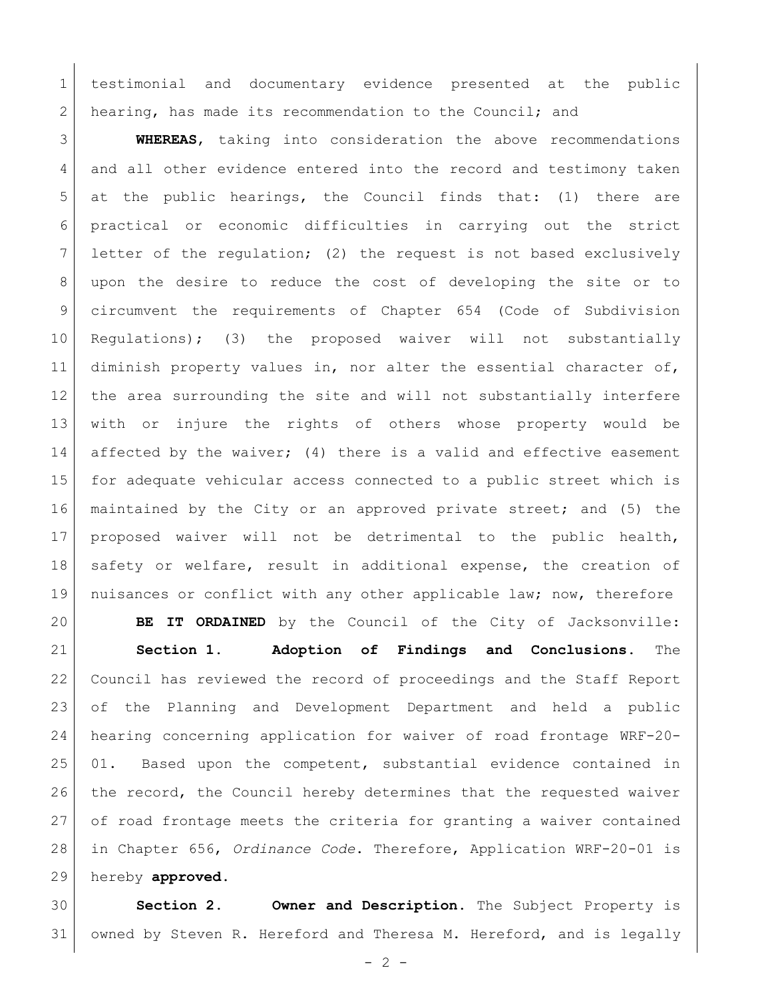testimonial and documentary evidence presented at the public 2 hearing, has made its recommendation to the Council; and

 **WHEREAS**, taking into consideration the above recommendations 4 and all other evidence entered into the record and testimony taken at the public hearings, the Council finds that: (1) there are practical or economic difficulties in carrying out the strict letter of the regulation; (2) the request is not based exclusively upon the desire to reduce the cost of developing the site or to circumvent the requirements of Chapter 654 (Code of Subdivision Regulations); (3) the proposed waiver will not substantially 11 diminish property values in, nor alter the essential character of, the area surrounding the site and will not substantially interfere with or injure the rights of others whose property would be 14 affected by the waiver; (4) there is a valid and effective easement for adequate vehicular access connected to a public street which is maintained by the City or an approved private street; and (5) the proposed waiver will not be detrimental to the public health, 18 safety or welfare, result in additional expense, the creation of nuisances or conflict with any other applicable law; now, therefore

 **BE IT ORDAINED** by the Council of the City of Jacksonville: **Section 1. Adoption of Findings and Conclusions.** The Council has reviewed the record of proceedings and the Staff Report of the Planning and Development Department and held a public hearing concerning application for waiver of road frontage WRF-20- 01. Based upon the competent, substantial evidence contained in 26 the record, the Council hereby determines that the requested waiver of road frontage meets the criteria for granting a waiver contained in Chapter 656, *Ordinance Code*. Therefore, Application WRF-20-01 is hereby **approved**.

 **Section 2. Owner and Description.** The Subject Property is owned by Steven R. Hereford and Theresa M. Hereford, and is legally

 $-2 -$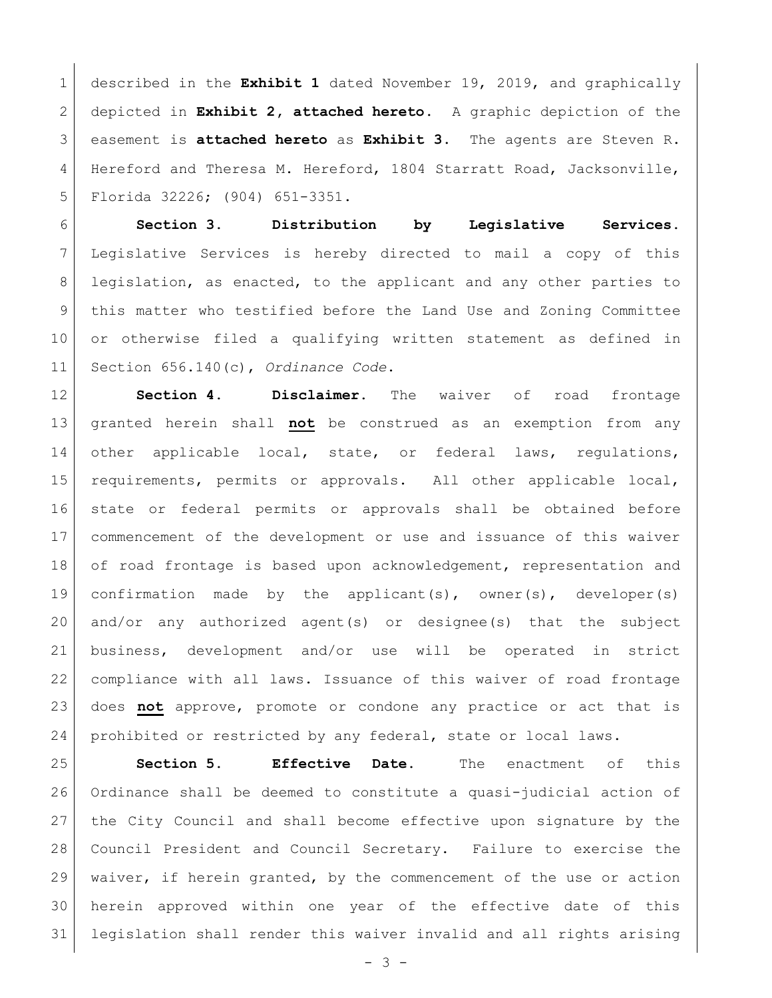described in the **Exhibit 1** dated November 19, 2019, and graphically depicted in **Exhibit 2, attached hereto**. A graphic depiction of the easement is **attached hereto** as **Exhibit 3**.The agents are Steven R. Hereford and Theresa M. Hereford, 1804 Starratt Road, Jacksonville, Florida 32226; (904) 651-3351.

 **Section 3. Distribution by Legislative Services.**  Legislative Services is hereby directed to mail a copy of this legislation, as enacted, to the applicant and any other parties to this matter who testified before the Land Use and Zoning Committee or otherwise filed a qualifying written statement as defined in Section 656.140(c), *Ordinance Code*.

 **Section 4. Disclaimer.** The waiver of road frontage granted herein shall **not** be construed as an exemption from any 14 other applicable local, state, or federal laws, regulations, requirements, permits or approvals. All other applicable local, state or federal permits or approvals shall be obtained before commencement of the development or use and issuance of this waiver 18 of road frontage is based upon acknowledgement, representation and confirmation made by the applicant(s), owner(s), developer(s) and/or any authorized agent(s) or designee(s) that the subject business, development and/or use will be operated in strict compliance with all laws. Issuance of this waiver of road frontage does **not** approve, promote or condone any practice or act that is prohibited or restricted by any federal, state or local laws.

 **Section 5. Effective Date.** The enactment of this Ordinance shall be deemed to constitute a quasi-judicial action of the City Council and shall become effective upon signature by the Council President and Council Secretary. Failure to exercise the waiver, if herein granted, by the commencement of the use or action herein approved within one year of the effective date of this legislation shall render this waiver invalid and all rights arising

 $- 3 -$